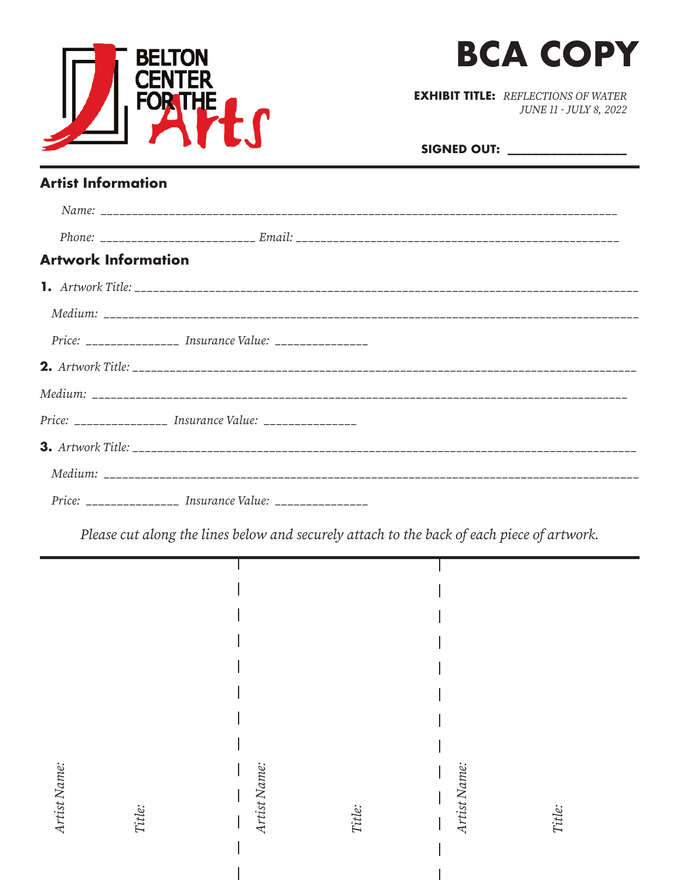



**EXHIBIT TITLE: REFLECTIONS OF WATER** JUNE 11 - JULY 8, 2022

| <b>SIGNED OUT:</b> |  |  |
|--------------------|--|--|
|                    |  |  |

#### **Artist Information**

| <b>Artwork Information</b> |                                                           |  |
|----------------------------|-----------------------------------------------------------|--|
|                            |                                                           |  |
|                            |                                                           |  |
|                            | Price: _______________ Insurance Value: _______________   |  |
|                            |                                                           |  |
|                            |                                                           |  |
|                            | Price: _______________ Insurance Value: ________________  |  |
|                            |                                                           |  |
|                            |                                                           |  |
|                            | Price: ________________ Insurance Value: ________________ |  |

Please cut along the lines below and securely attach to the back of each piece of artwork.

| Artist Name:<br>Title: | Artist Name: | Title: | Artist Name: | Title: |
|------------------------|--------------|--------|--------------|--------|

 $\overline{1}$ 

 $\overline{\phantom{a}}$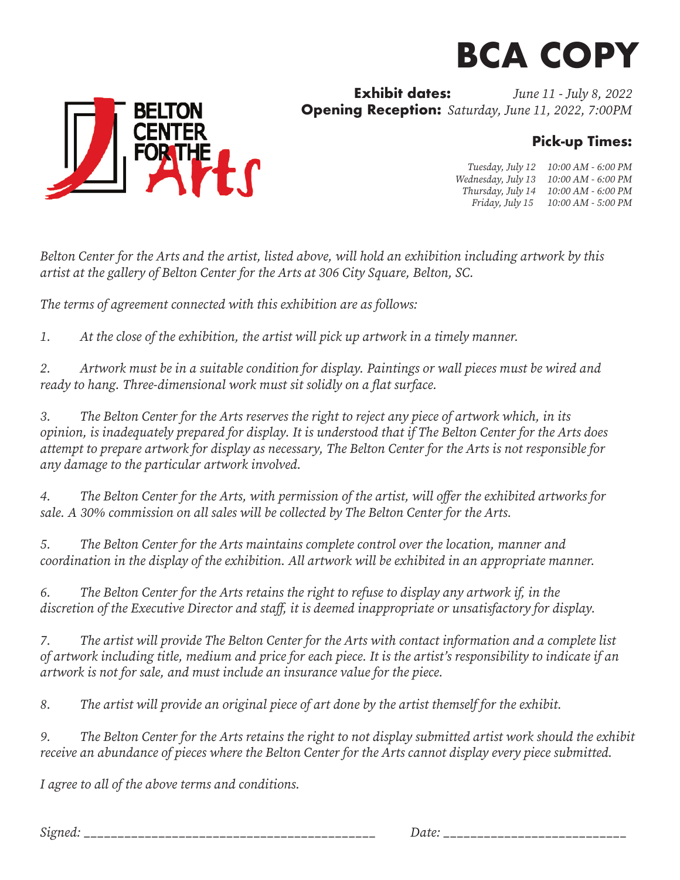# **BCA COPY**

**Exhibit dates:** *June 11 - July 8, 2022* **Opening Reception:** *Saturday, June 11, 2022, 7:00PM*

### **Pick-up Times:**

*Tuesday, July 12 10:00 AM - 6:00 PM Wednesday, July 13 10:00 AM - 6:00 PM Thursday, July 14 10:00 AM - 6:00 PM Friday, July 15 10:00 AM - 5:00 PM*

*Belton Center for the Arts and the artist, listed above, will hold an exhibition including artwork by this artist at the gallery of Belton Center for the Arts at 306 City Square, Belton, SC.*

*The terms of agreement connected with this exhibition are as follows:*

*1. At the close of the exhibition, the artist will pick up artwork in a timely manner.*

*2. Artwork must be in a suitable condition for display. Paintings or wall pieces must be wired and ready to hang. Three-dimensional work must sit solidly on a flat surface.* 

*3. The Belton Center for the Arts reserves the right to reject any piece of artwork which, in its opinion, is inadequately prepared for display. It is understood that if The Belton Center for the Arts does attempt to prepare artwork for display as necessary, The Belton Center for the Arts is not responsible for any damage to the particular artwork involved.*

*4. The Belton Center for the Arts, with permission of the artist, will offer the exhibited artworks for sale. A 30% commission on all sales will be collected by The Belton Center for the Arts.* 

*5. The Belton Center for the Arts maintains complete control over the location, manner and coordination in the display of the exhibition. All artwork will be exhibited in an appropriate manner.* 

*6. The Belton Center for the Arts retains the right to refuse to display any artwork if, in the discretion of the Executive Director and staff, it is deemed inappropriate or unsatisfactory for display.*

*7. The artist will provide The Belton Center for the Arts with contact information and a complete list of artwork including title, medium and price for each piece. It is the artist's responsibility to indicate if an artwork is not for sale, and must include an insurance value for the piece.* 

*8. The artist will provide an original piece of art done by the artist themself for the exhibit.*

*9. The Belton Center for the Arts retains the right to not display submitted artist work should the exhibit receive an abundance of pieces where the Belton Center for the Arts cannot display every piece submitted.* 

*I agree to all of the above terms and conditions.*

*Signed: \_\_\_\_\_\_\_\_\_\_\_\_\_\_\_\_\_\_\_\_\_\_\_\_\_\_\_\_\_\_\_\_\_\_\_\_\_\_\_\_\_\_\_ Date: \_\_\_\_\_\_\_\_\_\_\_\_\_\_\_\_\_\_\_\_\_\_\_\_\_\_\_*